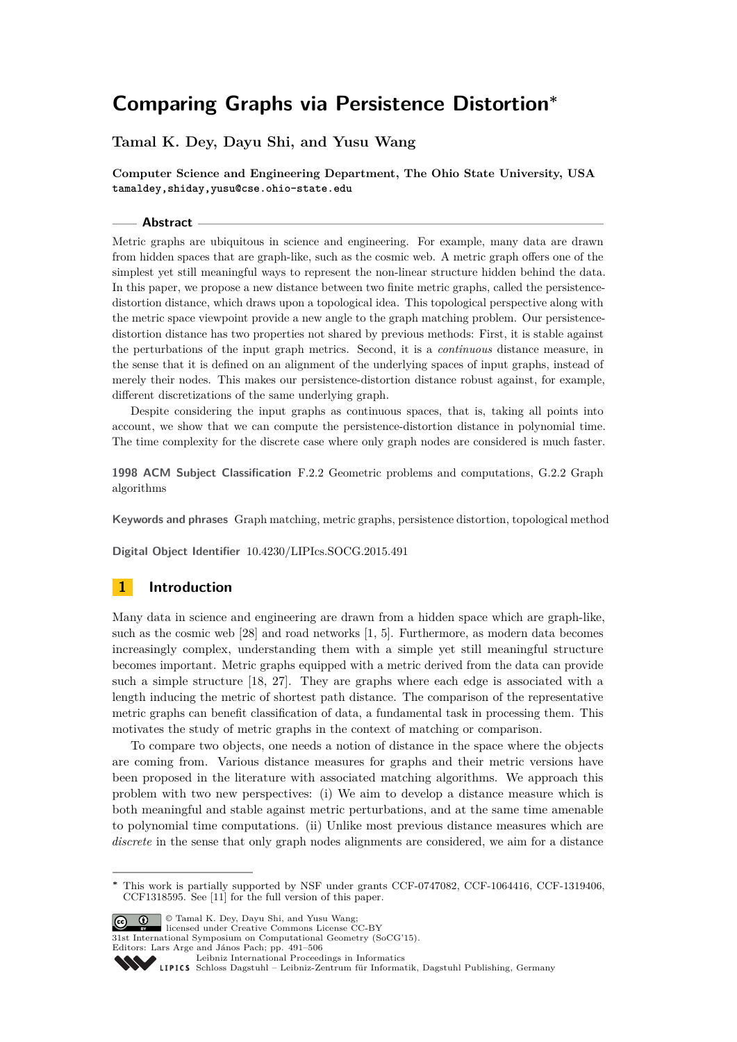**Tamal K. Dey, Dayu Shi, and Yusu Wang**

**Computer Science and Engineering Department, The Ohio State University, USA tamaldey,shiday,yusu@cse.ohio-state.edu**

#### **Abstract**

Metric graphs are ubiquitous in science and engineering. For example, many data are drawn from hidden spaces that are graph-like, such as the cosmic web. A metric graph offers one of the simplest yet still meaningful ways to represent the non-linear structure hidden behind the data. In this paper, we propose a new distance between two finite metric graphs, called the persistencedistortion distance, which draws upon a topological idea. This topological perspective along with the metric space viewpoint provide a new angle to the graph matching problem. Our persistencedistortion distance has two properties not shared by previous methods: First, it is stable against the perturbations of the input graph metrics. Second, it is a *continuous* distance measure, in the sense that it is defined on an alignment of the underlying spaces of input graphs, instead of merely their nodes. This makes our persistence-distortion distance robust against, for example, different discretizations of the same underlying graph.

Despite considering the input graphs as continuous spaces, that is, taking all points into account, we show that we can compute the persistence-distortion distance in polynomial time. The time complexity for the discrete case where only graph nodes are considered is much faster.

**1998 ACM Subject Classification** F.2.2 Geometric problems and computations, G.2.2 Graph algorithms

**Keywords and phrases** Graph matching, metric graphs, persistence distortion, topological method

**Digital Object Identifier** [10.4230/LIPIcs.SOCG.2015.491](http://dx.doi.org/10.4230/LIPIcs.SOCG.2015.491)

### **1 Introduction**

Many data in science and engineering are drawn from a hidden space which are graph-like, such as the cosmic web [\[28\]](#page-15-0) and road networks [\[1,](#page-14-0) [5\]](#page-14-1). Furthermore, as modern data becomes increasingly complex, understanding them with a simple yet still meaningful structure becomes important. Metric graphs equipped with a metric derived from the data can provide such a simple structure [\[18,](#page-14-2) [27\]](#page-15-1). They are graphs where each edge is associated with a length inducing the metric of shortest path distance. The comparison of the representative metric graphs can benefit classification of data, a fundamental task in processing them. This motivates the study of metric graphs in the context of matching or comparison.

To compare two objects, one needs a notion of distance in the space where the objects are coming from. Various distance measures for graphs and their metric versions have been proposed in the literature with associated matching algorithms. We approach this problem with two new perspectives: (i) We aim to develop a distance measure which is both meaningful and stable against metric perturbations, and at the same time amenable to polynomial time computations. (ii) Unlike most previous distance measures which are discrete in the sense that only graph nodes alignments are considered, we aim for a distance

31st International Symposium on Computational Geometry (SoCG'15).



[Leibniz International Proceedings in Informatics](http://www.dagstuhl.de/lipics/) [Schloss Dagstuhl – Leibniz-Zentrum für Informatik, Dagstuhl Publishing, Germany](http://www.dagstuhl.de)

**<sup>∗</sup>** This work is partially supported by NSF under grants CCF-0747082, CCF-1064416, CCF-1319406, CCF1318595. See [\[11\]](#page-14-3) for the full version of this paper.

<sup>©</sup> Tamal K. Dey, Dayu Shi, and Yusu Wang; licensed under Creative Commons License CC-BY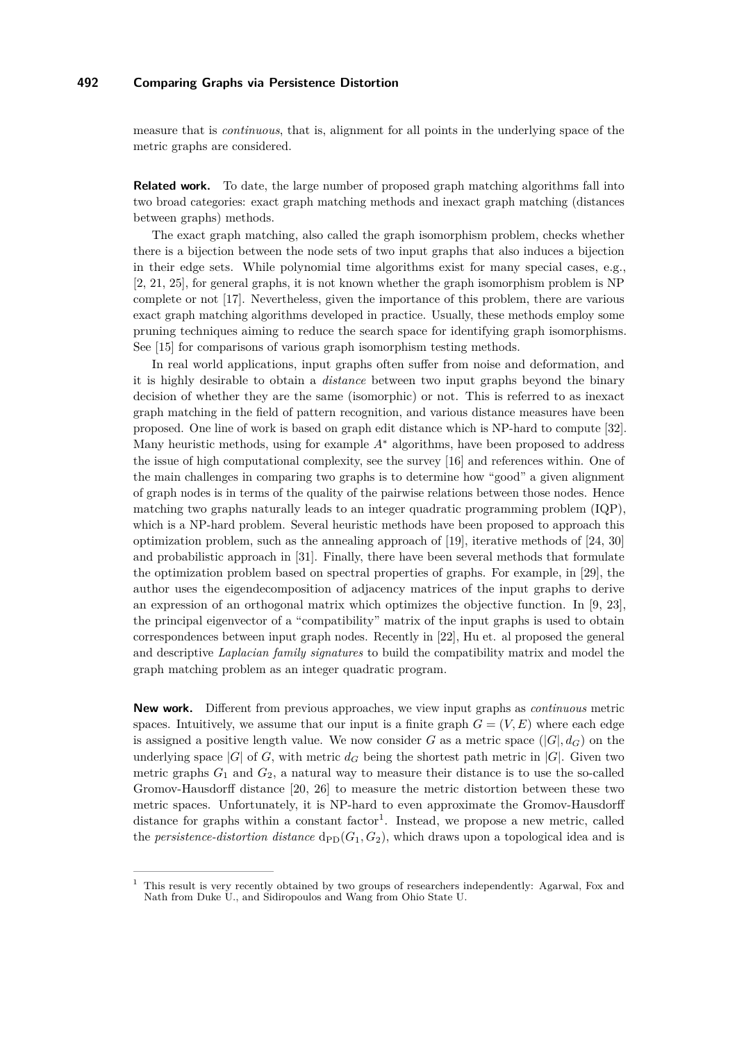measure that is *continuous*, that is, alignment for all points in the underlying space of the metric graphs are considered.

**Related work.** To date, the large number of proposed graph matching algorithms fall into two broad categories: exact graph matching methods and inexact graph matching (distances between graphs) methods.

The exact graph matching, also called the graph isomorphism problem, checks whether there is a bijection between the node sets of two input graphs that also induces a bijection in their edge sets. While polynomial time algorithms exist for many special cases, e.g., [\[2,](#page-14-4) [21,](#page-14-5) [25\]](#page-15-3), for general graphs, it is not known whether the graph isomorphism problem is NP complete or not [\[17\]](#page-14-6). Nevertheless, given the importance of this problem, there are various exact graph matching algorithms developed in practice. Usually, these methods employ some pruning techniques aiming to reduce the search space for identifying graph isomorphisms. See [\[15\]](#page-14-7) for comparisons of various graph isomorphism testing methods.

In real world applications, input graphs often suffer from noise and deformation, and it is highly desirable to obtain a *distance* between two input graphs beyond the binary decision of whether they are the same (isomorphic) or not. This is referred to as inexact graph matching in the field of pattern recognition, and various distance measures have been proposed. One line of work is based on graph edit distance which is NP-hard to compute [\[32\]](#page-15-4). Many heuristic methods, using for example *A*<sup>∗</sup> algorithms, have been proposed to address the issue of high computational complexity, see the survey [\[16\]](#page-14-8) and references within. One of the main challenges in comparing two graphs is to determine how "good" a given alignment of graph nodes is in terms of the quality of the pairwise relations between those nodes. Hence matching two graphs naturally leads to an integer quadratic programming problem (IQP), which is a NP-hard problem. Several heuristic methods have been proposed to approach this optimization problem, such as the annealing approach of [\[19\]](#page-14-9), iterative methods of [\[24,](#page-15-5) [30\]](#page-15-6) and probabilistic approach in [\[31\]](#page-15-7). Finally, there have been several methods that formulate the optimization problem based on spectral properties of graphs. For example, in [\[29\]](#page-15-8), the author uses the eigendecomposition of adjacency matrices of the input graphs to derive an expression of an orthogonal matrix which optimizes the objective function. In [\[9,](#page-14-10) [23\]](#page-14-11), the principal eigenvector of a "compatibility" matrix of the input graphs is used to obtain correspondences between input graph nodes. Recently in [\[22\]](#page-14-12), Hu et. al proposed the general and descriptive *Laplacian family signatures* to build the compatibility matrix and model the graph matching problem as an integer quadratic program.

**New work.** Different from previous approaches, we view input graphs as *continuous* metric spaces. Intuitively, we assume that our input is a finite graph  $G = (V, E)$  where each edge is assigned a positive length value. We now consider *G* as a metric space  $(|G|, d_G)$  on the underlying space  $|G|$  of *G*, with metric  $d_G$  being the shortest path metric in  $|G|$ . Given two metric graphs  $G_1$  and  $G_2$ , a natural way to measure their distance is to use the so-called Gromov-Hausdorff distance [\[20,](#page-14-13) [26\]](#page-15-9) to measure the metric distortion between these two metric spaces. Unfortunately, it is NP-hard to even approximate the Gromov-Hausdorff distance for graphs within a constant factor<sup>[1](#page-1-0)</sup>. Instead, we propose a new metric, called the *persistence-distortion distance*  $d_{PD}(G_1, G_2)$ , which draws upon a topological idea and is

<span id="page-1-0"></span><sup>1</sup> This result is very recently obtained by two groups of researchers independently: Agarwal, Fox and Nath from Duke U., and Sidiropoulos and Wang from Ohio State U.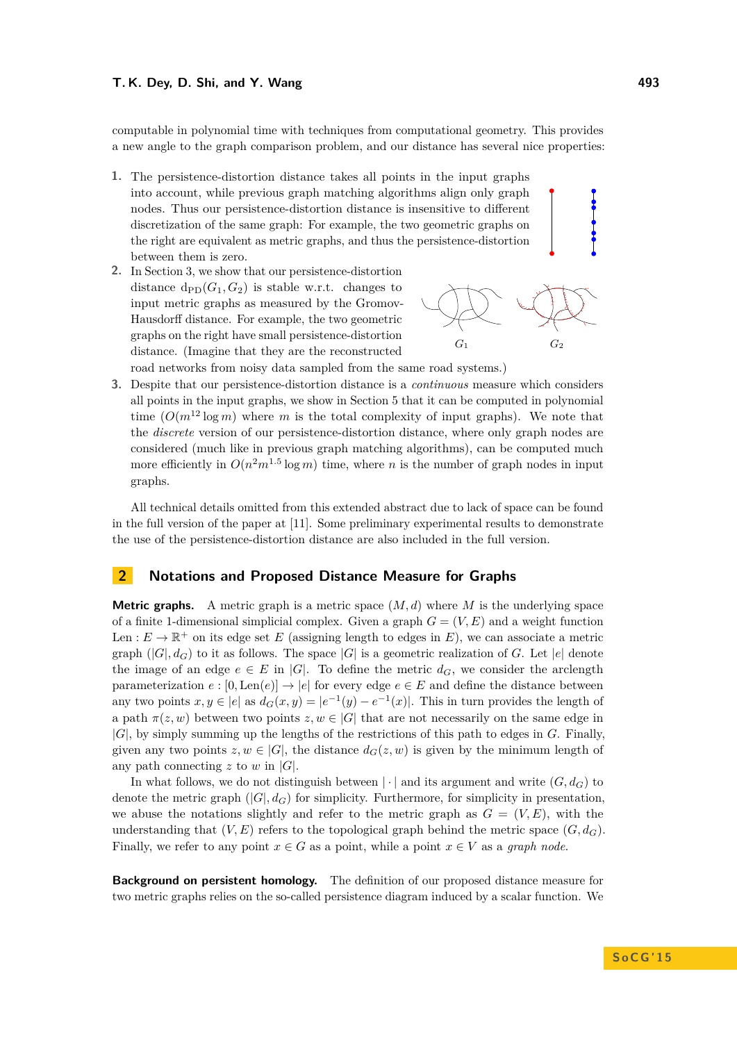computable in polynomial time with techniques from computational geometry. This provides a new angle to the graph comparison problem, and our distance has several nice properties:

- **1.** The persistence-distortion distance takes all points in the input graphs into account, while previous graph matching algorithms align only graph nodes. Thus our persistence-distortion distance is insensitive to different discretization of the same graph: For example, the two geometric graphs on the right are equivalent as metric graphs, and thus the persistence-distortion between them is zero.
- **2.** In Section [3,](#page-4-0) we show that our persistence-distortion distance  $d_{\text{PD}}(G_1, G_2)$  is stable w.r.t. changes to input metric graphs as measured by the Gromov-Hausdorff distance. For example, the two geometric graphs on the right have small persistence-distortion distance. (Imagine that they are the reconstructed



road networks from noisy data sampled from the same road systems.)

**3.** Despite that our persistence-distortion distance is a *continuous* measure which considers all points in the input graphs, we show in Section [5](#page-6-0) that it can be computed in polynomial time  $(O(m^{12} \log m)$  where *m* is the total complexity of input graphs). We note that the *discrete* version of our persistence-distortion distance, where only graph nodes are considered (much like in previous graph matching algorithms), can be computed much more efficiently in  $O(n^2m^{1.5}\log m)$  time, where *n* is the number of graph nodes in input graphs.

All technical details omitted from this extended abstract due to lack of space can be found in the full version of the paper at [\[11\]](#page-14-3). Some preliminary experimental results to demonstrate the use of the persistence-distortion distance are also included in the full version.

# <span id="page-2-0"></span>**2 Notations and Proposed Distance Measure for Graphs**

**Metric graphs.** A metric graph is a metric space  $(M, d)$  where M is the underlying space of a finite 1-dimensional simplicial complex. Given a graph  $G = (V, E)$  and a weight function Len :  $E \to \mathbb{R}^+$  on its edge set *E* (assigning length to edges in *E*), we can associate a metric graph  $(|G|, d_G)$  to it as follows. The space  $|G|$  is a geometric realization of *G*. Let  $|e|$  denote the image of an edge  $e \in E$  in |*G*|. To define the metric  $d_G$ , we consider the arclength parameterization  $e : [0, \text{Len}(e)] \to |e|$  for every edge  $e \in E$  and define the distance between any two points  $x, y \in |e|$  as  $d_G(x, y) = |e^{-1}(y) - e^{-1}(x)|$ . This in turn provides the length of a path  $\pi(z, w)$  between two points  $z, w \in |G|$  that are not necessarily on the same edge in |*G*|, by simply summing up the lengths of the restrictions of this path to edges in *G*. Finally, given any two points  $z, w \in |G|$ , the distance  $d_G(z, w)$  is given by the minimum length of any path connecting  $z$  to  $w$  in  $|G|$ .

In what follows, we do not distinguish between  $|\cdot|$  and its argument and write  $(G, d_G)$  to denote the metric graph  $(|G|, d_G)$  for simplicity. Furthermore, for simplicity in presentation, we abuse the notations slightly and refer to the metric graph as  $G = (V, E)$ , with the understanding that  $(V, E)$  refers to the topological graph behind the metric space  $(G, d_G)$ . Finally, we refer to any point  $x \in G$  as a point, while a point  $x \in V$  as a *graph node*.

**Background on persistent homology.** The definition of our proposed distance measure for two metric graphs relies on the so-called persistence diagram induced by a scalar function. We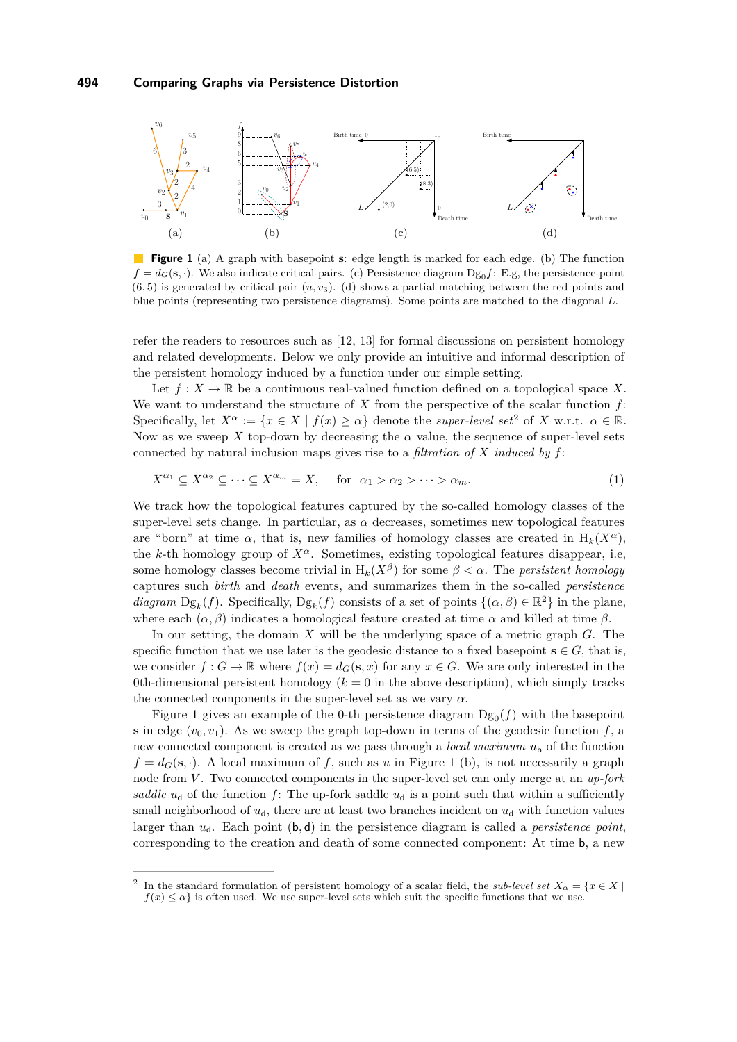<span id="page-3-1"></span>

**Figure 1** (a) A graph with basepoint **s**: edge length is marked for each edge. (b) The function  $f = d_G(s, \cdot)$ . We also indicate critical-pairs. (c) Persistence diagram  $Dg_0 f$ : E.g, the persistence-point (6*,* 5) is generated by critical-pair (*u, v*3). (d) shows a partial matching between the red points and blue points (representing two persistence diagrams). Some points are matched to the diagonal *L*.

refer the readers to resources such as [\[12,](#page-14-14) [13\]](#page-14-15) for formal discussions on persistent homology and related developments. Below we only provide an intuitive and informal description of the persistent homology induced by a function under our simple setting.

Let  $f: X \to \mathbb{R}$  be a continuous real-valued function defined on a topological space X. We want to understand the structure of *X* from the perspective of the scalar function *f*: Specifically, let  $X^{\alpha} := \{x \in X \mid f(x) \geq \alpha\}$  denote the *super-level set*<sup>[2](#page-3-0)</sup> of *X* w.r.t.  $\alpha \in \mathbb{R}$ . Now as we sweep X top-down by decreasing the  $\alpha$  value, the sequence of super-level sets connected by natural inclusion maps gives rise to a *filtration of X induced by f*:

$$
X^{\alpha_1} \subseteq X^{\alpha_2} \subseteq \dots \subseteq X^{\alpha_m} = X, \quad \text{for } \alpha_1 > \alpha_2 > \dots > \alpha_m. \tag{1}
$$

We track how the topological features captured by the so-called homology classes of the super-level sets change. In particular, as  $\alpha$  decreases, sometimes new topological features are "born" at time  $\alpha$ , that is, new families of homology classes are created in  $H_k(X^{\alpha})$ , the *k*-th homology group of  $X^{\alpha}$ . Sometimes, existing topological features disappear, i.e, some homology classes become trivial in  $H_k(X^{\beta})$  for some  $\beta < \alpha$ . The *persistent homology* captures such *birth* and *death* events, and summarizes them in the so-called *persistence diagram*  $\text{Dg}_k(f)$ . Specifically,  $\text{Dg}_k(f)$  consists of a set of points  $\{(\alpha, \beta) \in \mathbb{R}^2\}$  in the plane, where each  $(\alpha, \beta)$  indicates a homological feature created at time  $\alpha$  and killed at time  $\beta$ .

In our setting, the domain *X* will be the underlying space of a metric graph *G*. The specific function that we use later is the geodesic distance to a fixed basepoint **s**  $\in$  *G*, that is, we consider  $f: G \to \mathbb{R}$  where  $f(x) = d_G(s, x)$  for any  $x \in G$ . We are only interested in the 0th-dimensional persistent homology  $(k = 0$  in the above description), which simply tracks the connected components in the super-level set as we vary *α*.

Figure [1](#page-3-1) gives an example of the 0-th persistence diagram  $Dg_0(f)$  with the basepoint **s** in edge  $(v_0, v_1)$ . As we sweep the graph top-down in terms of the geodesic function  $f$ , a new connected component is created as we pass through a *local maximum u*<sup>b</sup> of the function  $f = d_G(s, \cdot)$ . A local maximum of f, such as *u* in Figure [1](#page-3-1) (b), is not necessarily a graph node from *V* . Two connected components in the super-level set can only merge at an *up-fork saddle*  $u_d$  of the function f: The up-fork saddle  $u_d$  is a point such that within a sufficiently small neighborhood of  $u_{d}$ , there are at least two branches incident on  $u_{d}$  with function values larger than  $u_d$ . Each point  $(b, d)$  in the persistence diagram is called a *persistence point*, corresponding to the creation and death of some connected component: At time b, a new

<span id="page-3-0"></span><sup>2</sup> In the standard formulation of persistent homology of a scalar field, the *sub-level set*  $X_{\alpha} = \{x \in X \mid$  $f(x) \leq \alpha$  is often used. We use super-level sets which suit the specific functions that we use.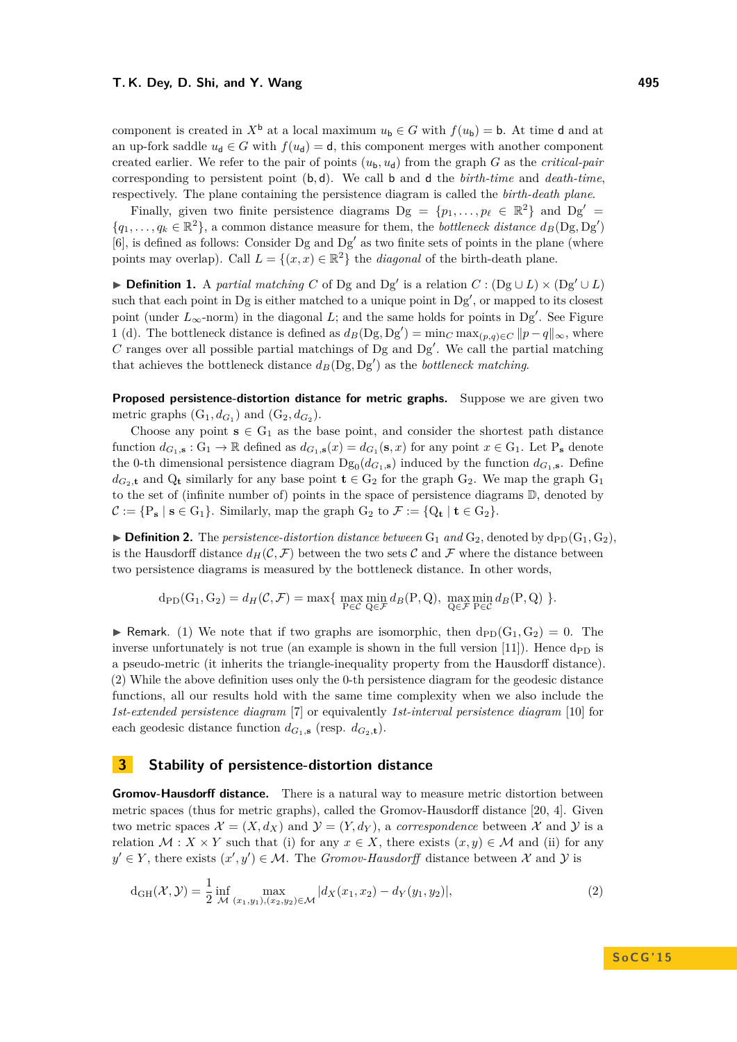component is created in  $X^{\mathsf{b}}$  at a local maximum  $u_{\mathsf{b}} \in G$  with  $f(u_{\mathsf{b}}) = \mathsf{b}$ . At time d and at an up-fork saddle  $u_d \in G$  with  $f(u_d) = d$ , this component merges with another component created earlier. We refer to the pair of points  $(u_h, u_d)$  from the graph *G* as the *critical-pair* corresponding to persistent point (b*,* d). We call b and d the *birth-time* and *death-time*, respectively. The plane containing the persistence diagram is called the *birth-death plane*.

Finally, given two finite persistence diagrams  $Dg = \{p_1, \ldots, p_\ell \in \mathbb{R}^2\}$  and  $Dg' =$  ${q_1, \ldots, q_k \in \mathbb{R}^2}$ , a common distance measure for them, the *bottleneck distance*  $d_B(Dg, Dg')$  $[6]$ , is defined as follows: Consider Dg and Dg' as two finite sets of points in the plane (where points may overlap). Call  $L = \{(x, x) \in \mathbb{R}^2\}$  the *diagonal* of the birth-death plane.

<span id="page-4-2"></span>**► Definition 1.** A *partial matching C* of Dg and Dg<sup>'</sup> is a relation  $C$  : (Dg ∪ *L*)  $\times$  (Dg<sup>'</sup> ∪ *L*) such that each point in Dg is either matched to a unique point in  $Dg'$ , or mapped to its closest point (under  $L_{\infty}$ -norm) in the diagonal *L*; and the same holds for points in Dg'. See Figure [1](#page-3-1) (d). The bottleneck distance is defined as  $d_B(Dg, Dg') = \min_C \max_{(p,q)\in C} ||p-q||_{\infty}$ , where  $C$  ranges over all possible partial matchings of Dg and Dg<sup>'</sup>. We call the partial matching that achieves the bottleneck distance  $d_B(Dg, Dg')$  as the *bottleneck matching*.

**Proposed persistence-distortion distance for metric graphs.** Suppose we are given two metric graphs  $(G_1, d_{G_1})$  and  $(G_2, d_{G_2})$ .

Choose any point  $s \in G_1$  as the base point, and consider the shortest path distance function  $d_{G_1,\mathbf{s}}: G_1 \to \mathbb{R}$  defined as  $d_{G_1,\mathbf{s}}(x) = d_{G_1}(\mathbf{s},x)$  for any point  $x \in G_1$ . Let P<sub>s</sub> denote the 0-th dimensional persistence diagram  $Dg_0(d_{G_1,s})$  induced by the function  $d_{G_1,s}$ . Define  $d_{G_2,\mathbf{t}}$  and  $Q_{\mathbf{t}}$  similarly for any base point  $\mathbf{t} \in G_2$  for the graph  $G_2$ . We map the graph  $G_1$ to the set of (infinite number of) points in the space of persistence diagrams D, denoted by  $C := \{P_{\mathbf{s}} \mid \mathbf{s} \in G_1\}$ . Similarly, map the graph  $G_2$  to  $\mathcal{F} := \{Q_{\mathbf{t}} \mid \mathbf{t} \in G_2\}$ .

<span id="page-4-1"></span> $\triangleright$  **Definition 2.** The *persistence-distortion distance between*  $G_1$  *and*  $G_2$ , denoted by  $d_{\text{PD}}(G_1, G_2)$ , is the Hausdorff distance  $d_H(\mathcal{C}, \mathcal{F})$  between the two sets  $\mathcal C$  and  $\mathcal F$  where the distance between two persistence diagrams is measured by the bottleneck distance. In other words,

 $d_{PD}(G_1, G_2) = d_H(\mathcal{C}, \mathcal{F}) = \max\left\{ \max_{P \in \mathcal{C}} \min_{Q \in \mathcal{F}} d_B(P, Q), \max_{Q \in \mathcal{F}} \min_{P \in \mathcal{C}} d_B(P, Q) \right\}.$ 

**I** Remark. (1) We note that if two graphs are isomorphic, then  $d_{PD}(G_1, G_2) = 0$ . The inverse unfortunately is not true (an example is shown in the full version [\[11\]](#page-14-3)). Hence  $d_{PD}$  is a pseudo-metric (it inherits the triangle-inequality property from the Hausdorff distance). (2) While the above definition uses only the 0-th persistence diagram for the geodesic distance functions, all our results hold with the same time complexity when we also include the *1st-extended persistence diagram* [\[7\]](#page-14-17) or equivalently *1st-interval persistence diagram* [\[10\]](#page-14-18) for each geodesic distance function  $d_{G_1, \mathbf{s}}$  (resp.  $d_{G_2, \mathbf{t}}$ ).

# <span id="page-4-0"></span>**3 Stability of persistence-distortion distance**

**Gromov-Hausdorff distance.** There is a natural way to measure metric distortion between metric spaces (thus for metric graphs), called the Gromov-Hausdorff distance [\[20,](#page-14-13) [4\]](#page-14-19). Given two metric spaces  $\mathcal{X} = (X, d_X)$  and  $\mathcal{Y} = (Y, d_Y)$ , a *correspondence* between X and Y is a relation  $\mathcal{M}: X \times Y$  such that (i) for any  $x \in X$ , there exists  $(x, y) \in \mathcal{M}$  and (ii) for any  $y' \in Y$ , there exists  $(x', y') \in \mathcal{M}$ . The *Gromov-Hausdorff* distance between X and Y is

$$
d_{GH}(\mathcal{X}, \mathcal{Y}) = \frac{1}{2} \inf_{\mathcal{M}} \max_{(x_1, y_1), (x_2, y_2) \in \mathcal{M}} |d_X(x_1, x_2) - d_Y(y_1, y_2)|,
$$
\n(2)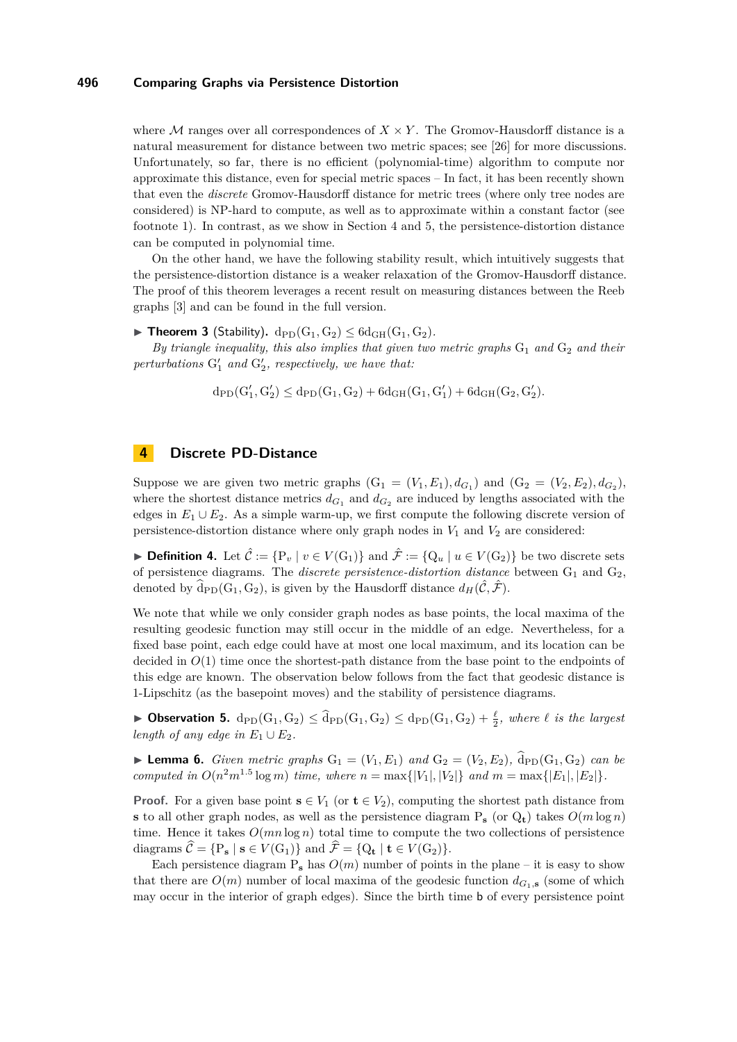where M ranges over all correspondences of  $X \times Y$ . The Gromov-Hausdorff distance is a natural measurement for distance between two metric spaces; see [\[26\]](#page-15-9) for more discussions. Unfortunately, so far, there is no efficient (polynomial-time) algorithm to compute nor approximate this distance, even for special metric spaces – In fact, it has been recently shown that even the *discrete* Gromov-Hausdorff distance for metric trees (where only tree nodes are considered) is NP-hard to compute, as well as to approximate within a constant factor (see footnote 1). In contrast, as we show in Section [4](#page-5-0) and [5,](#page-6-0) the persistence-distortion distance can be computed in polynomial time.

On the other hand, we have the following stability result, which intuitively suggests that the persistence-distortion distance is a weaker relaxation of the Gromov-Hausdorff distance. The proof of this theorem leverages a recent result on measuring distances between the Reeb graphs [\[3\]](#page-14-20) and can be found in the full version.

▶ **Theorem 3** (Stability).  $d_{PD}(G_1, G_2)$  ≤  $6d_{GH}(G_1, G_2)$ .

*By triangle inequality, this also implies that given two metric graphs*  $G_1$  *and*  $G_2$  *and their*  $perturbations G'_{1}$  *and*  $G'_{2}$ *, respectively, we have that:* 

 $d_{PD}(G'_1, G'_2) \leq d_{PD}(G_1, G_2) + 6d_{GH}(G_1, G'_1) + 6d_{GH}(G_2, G'_2).$ 

## <span id="page-5-0"></span>**4 Discrete PD-Distance**

Suppose we are given two metric graphs  $(G_1 = (V_1, E_1), d_{G_1})$  and  $(G_2 = (V_2, E_2), d_{G_2})$ , where the shortest distance metrics  $d_{G_1}$  and  $d_{G_2}$  are induced by lengths associated with the edges in  $E_1 \cup E_2$ . As a simple warm-up, we first compute the following discrete version of persistence-distortion distance where only graph nodes in  $V_1$  and  $V_2$  are considered:

▶ **Definition 4.** Let  $\hat{\mathcal{C}} := \{P_v \mid v \in V(G_1)\}\$  and  $\hat{\mathcal{F}} := \{Q_u \mid u \in V(G_2)\}\$  be two discrete sets of persistence diagrams. The *discrete persistence-distortion distance* between  $G_1$  and  $G_2$ , denoted by  $\hat{d}_{PD}(G_1, G_2)$ , is given by the Hausdorff distance  $d_H(\hat{C}, \hat{F})$ .

We note that while we only consider graph nodes as base points, the local maxima of the resulting geodesic function may still occur in the middle of an edge. Nevertheless, for a fixed base point, each edge could have at most one local maximum, and its location can be decided in *O*(1) time once the shortest-path distance from the base point to the endpoints of this edge are known. The observation below follows from the fact that geodesic distance is 1-Lipschitz (as the basepoint moves) and the stability of persistence diagrams.

<span id="page-5-1"></span>**Observation 5.**  $d_{PD}(G_1, G_2) \leq \hat{d}_{PD}(G_1, G_2) \leq d_{PD}(G_1, G_2) + \frac{\ell}{2}$ , where  $\ell$  is the largest *length of any edge in*  $E_1 \cup E_2$ *.* 

▶ **Lemma 6.** *Given metric graphs*  $G_1 = (V_1, E_1)$  *and*  $G_2 = (V_2, E_2)$ ,  $\hat{d}_{PD}(G_1, G_2)$  *can be computed in*  $O(n^2m^{1.5}\log m)$  *time, where*  $n = \max\{|V_1|, |V_2|\}$  *and*  $m = \max\{|E_1|, |E_2|\}.$ 

**Proof.** For a given base point  $\mathbf{s} \in V_1$  (or  $\mathbf{t} \in V_2$ ), computing the shortest path distance from **s** to all other graph nodes, as well as the persistence diagram  $P_s$  (or  $Q_t$ ) takes  $O(m \log n)$ time. Hence it takes  $O(mn \log n)$  total time to compute the two collections of persistence diagrams  $\widehat{\mathcal{C}} = \{P_{\mathbf{s}} \mid \mathbf{s} \in V(G_1)\}\$  and  $\widehat{\mathcal{F}} = \{Q_{\mathbf{t}} \mid \mathbf{t} \in V(G_2)\}.$ 

Each persistence diagram  $P_s$  has  $O(m)$  number of points in the plane – it is easy to show that there are  $O(m)$  number of local maxima of the geodesic function  $d_{G_1,s}$  (some of which may occur in the interior of graph edges). Since the birth time b of every persistence point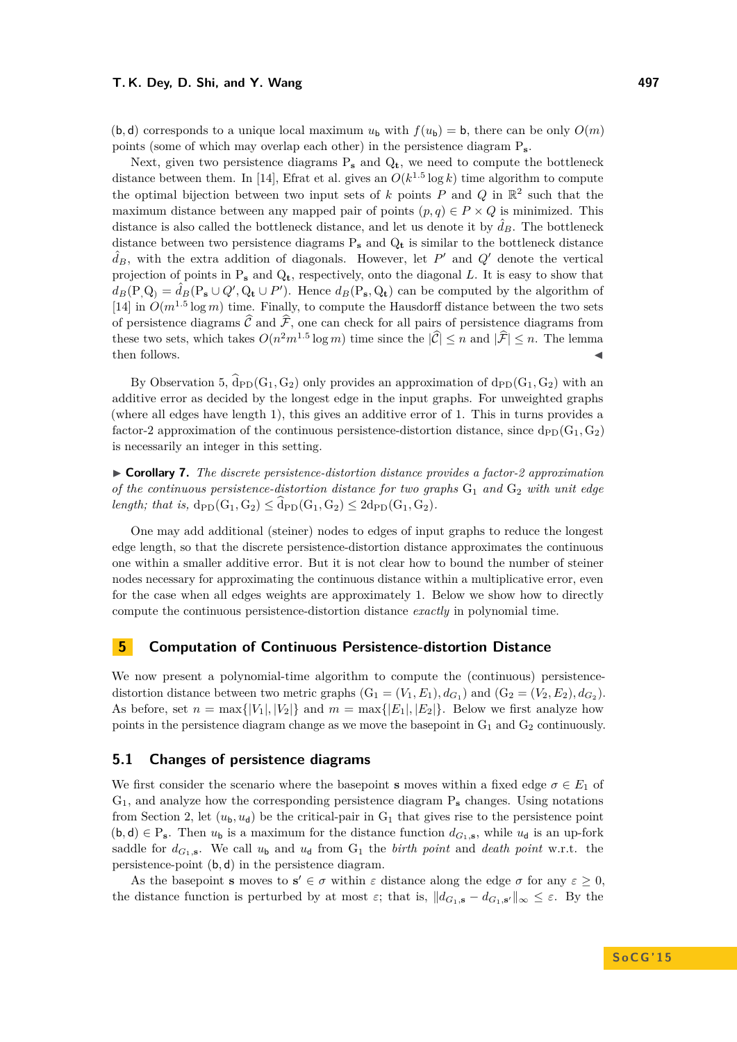$(b, d)$  corresponds to a unique local maximum  $u<sub>b</sub>$  with  $f(u<sub>b</sub>) = b$ , there can be only  $O(m)$ points (some of which may overlap each other) in the persistence diagram P**s**.

Next, given two persistence diagrams  $P_s$  and  $Q_t$ , we need to compute the bottleneck distance between them. In [\[14\]](#page-14-21), Efrat et al. gives an  $O(k^{1.5} \log k)$  time algorithm to compute the optimal bijection between two input sets of  $k$  points  $P$  and  $Q$  in  $\mathbb{R}^2$  such that the maximum distance between any mapped pair of points  $(p,q) \in P \times Q$  is minimized. This distance is also called the bottleneck distance, and let us denote it by  $\hat{d}_B$ . The bottleneck distance between two persistence diagrams  $P_s$  and  $Q_t$  is similar to the bottleneck distance  $\hat{d}_B$ , with the extra addition of diagonals. However, let  $P'$  and  $Q'$  denote the vertical projection of points in P**<sup>s</sup>** and Q**t**, respectively, onto the diagonal *L*. It is easy to show that  $d_B(P,Q) = \hat{d}_B(P_s \cup Q', Q_t \cup P')$ . Hence  $d_B(P_s, Q_t)$  can be computed by the algorithm of [\[14\]](#page-14-21) in  $O(m^{1.5} \log m)$  time. Finally, to compute the Hausdorff distance between the two sets of persistence diagrams  $\hat{\mathcal{C}}$  and  $\hat{\mathcal{F}}$ , one can check for all pairs of persistence diagrams from these two sets, which takes  $O(n^2m^{1.5}\log m)$  time since the  $|\hat{\mathcal{C}}| \leq n$  and  $|\hat{\mathcal{F}}| \leq n$ . The lemma then follows.

By Observation [5,](#page-5-1)  $\hat{d}_{PD}(G_1, G_2)$  only provides an approximation of  $d_{PD}(G_1, G_2)$  with an additive error as decided by the longest edge in the input graphs. For unweighted graphs (where all edges have length 1), this gives an additive error of 1. This in turns provides a factor-2 approximation of the continuous persistence-distortion distance, since  $d_{\text{PD}}(G_1, G_2)$ is necessarily an integer in this setting.

I **Corollary 7.** *The discrete persistence-distortion distance provides a factor-2 approximation of the continuous persistence-distortion distance for two graphs*  $G_1$  *and*  $G_2$  *with unit edge* length; that is,  $d_{PD}(G_1, G_2) \leq \widehat{d}_{PD}(G_1, G_2) \leq 2d_{PD}(G_1, G_2)$ .

One may add additional (steiner) nodes to edges of input graphs to reduce the longest edge length, so that the discrete persistence-distortion distance approximates the continuous one within a smaller additive error. But it is not clear how to bound the number of steiner nodes necessary for approximating the continuous distance within a multiplicative error, even for the case when all edges weights are approximately 1. Below we show how to directly compute the continuous persistence-distortion distance *exactly* in polynomial time.

# <span id="page-6-0"></span>**5 Computation of Continuous Persistence-distortion Distance**

We now present a polynomial-time algorithm to compute the (continuous) persistencedistortion distance between two metric graphs  $(G_1 = (V_1, E_1), d_{G_1})$  and  $(G_2 = (V_2, E_2), d_{G_2})$ . As before, set  $n = \max\{|V_1|, |V_2|\}$  and  $m = \max\{|E_1|, |E_2|\}$ . Below we first analyze how points in the persistence diagram change as we move the basepoint in  $G_1$  and  $G_2$  continuously.

### **5.1 Changes of persistence diagrams**

We first consider the scenario where the basepoint **s** moves within a fixed edge  $\sigma \in E_1$  of G1, and analyze how the corresponding persistence diagram P**<sup>s</sup>** changes. Using notations from Section [2,](#page-2-0) let  $(u_b, u_d)$  be the critical-pair in  $G_1$  that gives rise to the persistence point  $(b, d) ∈ P_s$ . Then  $u_b$  is a maximum for the distance function  $d_{G_1,s}$ , while  $u_d$  is an up-fork saddle for  $d_{G_1, s}$ . We call  $u_b$  and  $u_d$  from  $G_1$  the *birth point* and *death point* w.r.t. the persistence-point (b*,* d) in the persistence diagram.

As the basepoint **s** moves to  $s' \in \sigma$  within  $\varepsilon$  distance along the edge  $\sigma$  for any  $\varepsilon \geq 0$ , the distance function is perturbed by at most  $\varepsilon$ ; that is,  $||d_{G_1,\mathbf{s}} - d_{G_1,\mathbf{s}'}||_{\infty} \leq \varepsilon$ . By the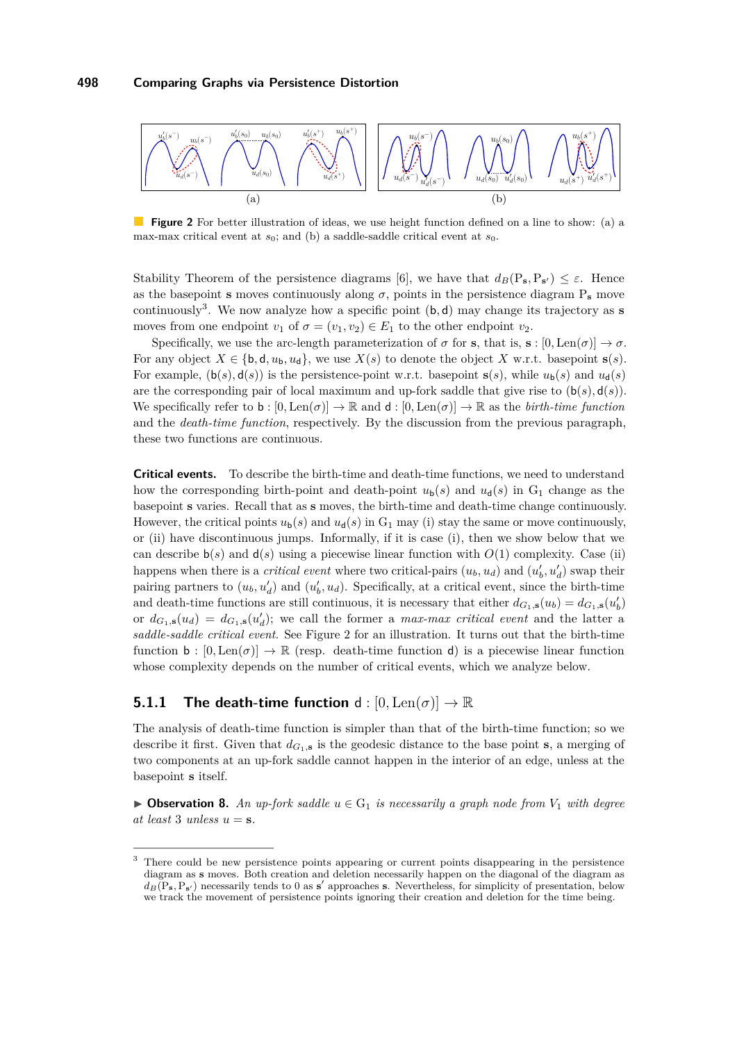<span id="page-7-1"></span>

**Figure 2** For better illustration of ideas, we use height function defined on a line to show: (a) a max-max critical event at  $s_0$ ; and (b) a saddle-saddle critical event at  $s_0$ .

Stability Theorem of the persistence diagrams [\[6\]](#page-14-16), we have that  $d_B(P_s, P_{s'}) \leq \varepsilon$ . Hence as the basepoint **s** moves continuously along  $\sigma$ , points in the persistence diagram  $P_s$  move continuously[3](#page-7-0) . We now analyze how a specific point (b*,* d) may change its trajectory as **s** moves from one endpoint  $v_1$  of  $\sigma = (v_1, v_2) \in E_1$  to the other endpoint  $v_2$ .

Specifically, we use the arc-length parameterization of *σ* for **s**, that is, **s** : [0, Len(*σ*)]  $\rightarrow$  *σ*. For any object  $X \in \{\mathfrak{b}, \mathsf{d}, u_{\mathfrak{b}}, u_{\mathfrak{d}}\}$ , we use  $X(s)$  to denote the object X w.r.t. basepoint  $\mathbf{s}(s)$ . For example,  $(b(s), d(s))$  is the persistence-point w.r.t. basepoint  $s(s)$ , while  $u_b(s)$  and  $u_d(s)$ are the corresponding pair of local maximum and up-fork saddle that give rise to  $(b(s), d(s))$ . We specifically refer to b :  $[0, \text{Len}(\sigma)] \to \mathbb{R}$  and d :  $[0, \text{Len}(\sigma)] \to \mathbb{R}$  as the *birth-time function* and the *death-time function*, respectively. By the discussion from the previous paragraph, these two functions are continuous.

**Critical events.** To describe the birth-time and death-time functions, we need to understand how the corresponding birth-point and death-point  $u_{\mathbf{b}}(s)$  and  $u_{\mathbf{d}}(s)$  in  $G_1$  change as the basepoint **s** varies. Recall that as **s** moves, the birth-time and death-time change continuously. However, the critical points  $u_{b}(s)$  and  $u_{d}(s)$  in  $G_1$  may (i) stay the same or move continuously, or (ii) have discontinuous jumps. Informally, if it is case (i), then we show below that we can describe  $b(s)$  and  $d(s)$  using a piecewise linear function with  $O(1)$  complexity. Case (ii) happens when there is a *critical event* where two critical-pairs  $(u_b, u_d)$  and  $(u'_b, u'_d)$  swap their pairing partners to  $(u_b, u'_d)$  and  $(u'_b, u_d)$ . Specifically, at a critical event, since the birth-time and death-time functions are still continuous, it is necessary that either  $d_{G_1, \mathbf{s}}(u_b) = d_{G_1, \mathbf{s}}(u_b')$ or  $d_{G_1,\mathbf{s}}(u_d) = d_{G_1,\mathbf{s}}(u'_d)$ ; we call the former a *max-max critical event* and the latter a *saddle-saddle critical event*. See Figure [2](#page-7-1) for an illustration. It turns out that the birth-time function  $\mathbf{b} : [0, \text{Len}(\sigma)] \to \mathbb{R}$  (resp. death-time function d) is a piecewise linear function whose complexity depends on the number of critical events, which we analyze below.

### <span id="page-7-3"></span>**5.1.1 The death-time function**  $d : [0, \text{Len}(\sigma)] \to \mathbb{R}$

The analysis of death-time function is simpler than that of the birth-time function; so we describe it first. Given that  $d_{G_1,s}$  is the geodesic distance to the base point **s**, a merging of two components at an up-fork saddle cannot happen in the interior of an edge, unless at the basepoint **s** itself.

<span id="page-7-2"></span>▶ **Observation 8.** An up-fork saddle  $u \in G_1$  is necessarily a graph node from  $V_1$  with degree  $at$  *least* 3 *unless*  $u = s$ *.* 

<span id="page-7-0"></span><sup>&</sup>lt;sup>3</sup> There could be new persistence points appearing or current points disappearing in the persistence diagram as **s** moves. Both creation and deletion necessarily happen on the diagonal of the diagram as  $d_B(P_s, P_{s'})$  necessarily tends to 0 as  $s'$  approaches **s**. Nevertheless, for simplicity of presentation, below we track the movement of persistence points ignoring their creation and deletion for the time being.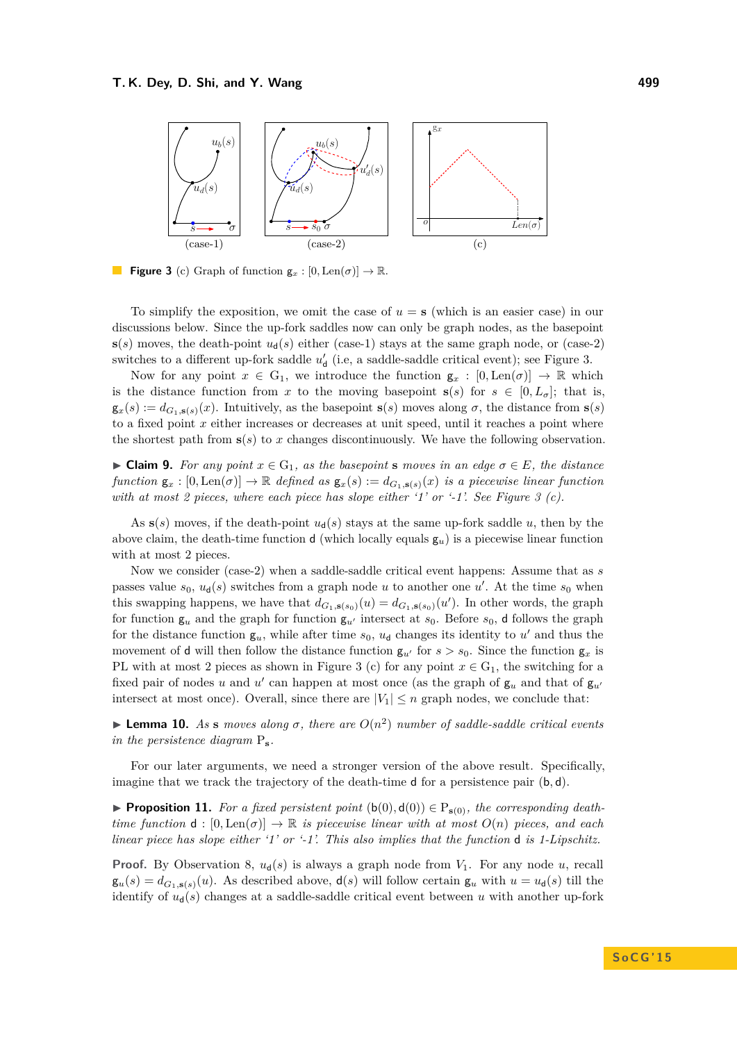<span id="page-8-0"></span>

**Figure 3** (c) Graph of function  $\mathbf{g}_x : [0, \text{Len}(\sigma)] \to \mathbb{R}$ .

To simplify the exposition, we omit the case of  $u = s$  (which is an easier case) in our discussions below. Since the up-fork saddles now can only be graph nodes, as the basepoint  $s(s)$  moves, the death-point  $u_d(s)$  either (case-1) stays at the same graph node, or (case-2) switches to a different up-fork saddle  $u'_{\mathsf{d}}$  (i.e, a saddle-saddle critical event); see Figure [3.](#page-8-0)

Now for any point  $x \in G_1$ , we introduce the function  $g_x : [0, \text{Len}(\sigma)] \to \mathbb{R}$  which is the distance function from *x* to the moving basepoint **s**(*s*) for  $s \in [0, L_{\sigma}]$ ; that is,  $g_x(s) := d_{G_1, s(s)}(x)$ . Intuitively, as the basepoint  $s(s)$  moves along  $\sigma$ , the distance from  $s(s)$ to a fixed point *x* either increases or decreases at unit speed, until it reaches a point where the shortest path from **s**(*s*) to *x* changes discontinuously. We have the following observation.

<span id="page-8-1"></span> $\triangleright$  **Claim 9.** *For any point*  $x \in G_1$ *, as the basepoint* **s** *moves in an edge σ* ∈ *E, the distance function*  $\mathbf{g}_x : [0, \text{Len}(\sigma)] \to \mathbb{R}$  *defined as*  $\mathbf{g}_x(s) := d_{G_1, \mathbf{s}(s)}(x)$  *is a piecewise linear function with at most 2 pieces, where each piece has slope either '1' or '-1'. See Figure [3](#page-8-0) (c).*

As  $s(s)$  moves, if the death-point  $u_d(s)$  stays at the same up-fork saddle *u*, then by the above claim, the death-time function  $d$  (which locally equals  $g_u$ ) is a piecewise linear function with at most 2 pieces.

Now we consider (case-2) when a saddle-saddle critical event happens: Assume that as *s* passes value  $s_0$ ,  $u_d(s)$  switches from a graph node *u* to another one *u'*. At the time  $s_0$  when this swapping happens, we have that  $d_{G_1, \mathbf{s}(s_0)}(u) = d_{G_1, \mathbf{s}(s_0)}(u')$ . In other words, the graph for function  $g_u$  and the graph for function  $g_{u'}$  intersect at  $s_0$ . Before  $s_0$ , d follows the graph for the distance function  $g_u$ , while after time  $s_0$ ,  $u_d$  changes its identity to  $u'$  and thus the movement of **d** will then follow the distance function  $g_u$  for  $s > s_0$ . Since the function  $g_x$  is PL with at most 2 pieces as shown in Figure [3](#page-8-0) (c) for any point  $x \in G_1$ , the switching for a fixed pair of nodes *u* and *u'* can happen at most once (as the graph of  $g_u$  and that of  $g_u$ intersect at most once). Overall, since there are  $|V_1| \leq n$  graph nodes, we conclude that:

**Lemma 10.** As **s** moves along  $\sigma$ , there are  $O(n^2)$  number of saddle-saddle critical events *in the persistence diagram* P**s***.*

For our later arguments, we need a stronger version of the above result. Specifically, imagine that we track the trajectory of the death-time d for a persistence pair (b*,* d).

<span id="page-8-2"></span>**Proposition 11.** For a fixed persistent point  $(b(0), d(0)) \in P_{s(0)}$ , the corresponding death*time function*  $d : [0, Len(\sigma)] \to \mathbb{R}$  *is piecewise linear with at most*  $O(n)$  *pieces, and each linear piece has slope either '1' or '-1'. This also implies that the function* d *is 1-Lipschitz.*

**Proof.** By Observation [8,](#page-7-2)  $u_d(s)$  is always a graph node from  $V_1$ . For any node *u*, recall  $g_u(s) = d_{G_1, s(s)}(u)$ . As described above,  $d(s)$  will follow certain  $g_u$  with  $u = u_d(s)$  till the identify of  $u_d(s)$  changes at a saddle-saddle critical event between *u* with another up-fork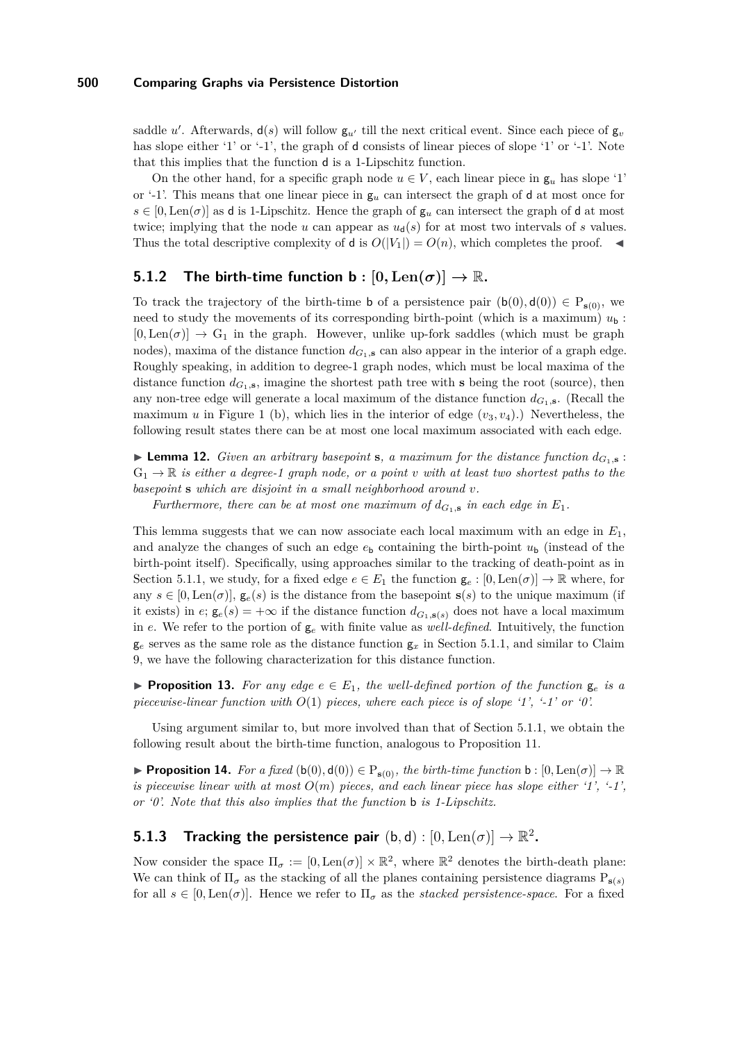saddle *u*'. Afterwards,  $d(s)$  will follow  $g_{u'}$  till the next critical event. Since each piece of  $g_v$ has slope either '1' or '-1', the graph of d consists of linear pieces of slope '1' or '-1'. Note that this implies that the function d is a 1-Lipschitz function.

On the other hand, for a specific graph node  $u \in V$ , each linear piece in  $g_u$  has slope '1' or '-1'. This means that one linear piece in g*<sup>u</sup>* can intersect the graph of d at most once for  $s \in [0, \text{Len}(\sigma)]$  as **d** is 1-Lipschitz. Hence the graph of  $g_u$  can intersect the graph of **d** at most twice; implying that the node  $u$  can appear as  $u_d(s)$  for at most two intervals of  $s$  values. Thus the total descriptive complexity of **d** is  $O(|V_1|) = O(n)$ , which completes the proof.

### **5.1.2** The birth-time function  $\mathbf{b} : [0, \text{Len}(\sigma)] \to \mathbb{R}$ .

To track the trajectory of the birth-time **b** of a persistence pair  $(b(0), d(0)) \in P_{s(0)}$ , we need to study the movements of its corresponding birth-point (which is a maximum)  $u_{\rm b}$ :  $[0, \text{Len}(\sigma)] \rightarrow G_1$  in the graph. However, unlike up-fork saddles (which must be graph nodes), maxima of the distance function  $d_{G_1,s}$  can also appear in the interior of a graph edge. Roughly speaking, in addition to degree-1 graph nodes, which must be local maxima of the distance function  $d_{G_1,s}$ , imagine the shortest path tree with **s** being the root (source), then any non-tree edge will generate a local maximum of the distance function  $d_{G_1, s}$ . (Recall the maximum *u* in Figure [1](#page-3-1) (b), which lies in the interior of edge  $(v_3, v_4)$ .) Nevertheless, the following result states there can be at most one local maximum associated with each edge.

**Example 12.** *Given an arbitrary basepoint* **s**, a maximum for the distance function  $d_{G_1, S}$ :  $G_1 \rightarrow \mathbb{R}$  *is either a degree-1 graph node, or a point v with at least two shortest paths to the basepoint* **s** *which are disjoint in a small neighborhood around v.*

*Furthermore, there can be at most one maximum of*  $d_{G_1, s}$  *in each edge in*  $E_1$ *.* 

This lemma suggests that we can now associate each local maximum with an edge in *E*1, and analyze the changes of such an edge  $e<sub>b</sub>$  containing the birth-point  $u<sub>b</sub>$  (instead of the birth-point itself). Specifically, using approaches similar to the tracking of death-point as in Section [5.1.1,](#page-7-3) we study, for a fixed edge  $e \in E_1$  the function  $g_e : [0, \text{Len}(\sigma)] \to \mathbb{R}$  where, for any  $s \in [0, \text{Len}(\sigma)]$ ,  $g_e(s)$  is the distance from the basepoint  $s(s)$  to the unique maximum (if it exists) in *e*;  $g_e(s) = +\infty$  if the distance function  $d_{G_1, s(s)}$  does not have a local maximum in *e*. We refer to the portion of g*<sup>e</sup>* with finite value as *well-defined*. Intuitively, the function  $g_e$  serves as the same role as the distance function  $g_x$  in Section [5.1.1,](#page-7-3) and similar to Claim [9,](#page-8-1) we have the following characterization for this distance function.

**Proposition 13.** For any edge  $e \in E_1$ , the well-defined portion of the function  $g_e$  is a *piecewise-linear function with O*(1) *pieces, where each piece is of slope '1', '-1' or '0'.*

Using argument similar to, but more involved than that of Section [5.1.1,](#page-7-3) we obtain the following result about the birth-time function, analogous to Proposition [11.](#page-8-2)

<span id="page-9-0"></span>**Proposition 14.** *For a fixed* (b(0), d(0))  $\in$  P<sub>s(0)</sub>*, the birth-time function* b : [0, Len( $\sigma$ )]  $\rightarrow \mathbb{R}$ *is piecewise linear with at most*  $O(m)$  *pieces, and each linear piece has slope either '1', '-1'*, *or '0'. Note that this also implies that the function* b *is 1-Lipschitz.*

# **5.1.3** Tracking the persistence pair  $(b, d) : [0, \text{Len}(\sigma)] \rightarrow \mathbb{R}^2$ .

Now consider the space  $\Pi_{\sigma} := [0, \text{Len}(\sigma)] \times \mathbb{R}^2$ , where  $\mathbb{R}^2$  denotes the birth-death plane: We can think of  $\Pi_{\sigma}$  as the stacking of all the planes containing persistence diagrams  $P_{s(s)}$ for all  $s \in [0, \text{Len}(\sigma)]$ . Hence we refer to  $\Pi_{\sigma}$  as the *stacked persistence-space*. For a fixed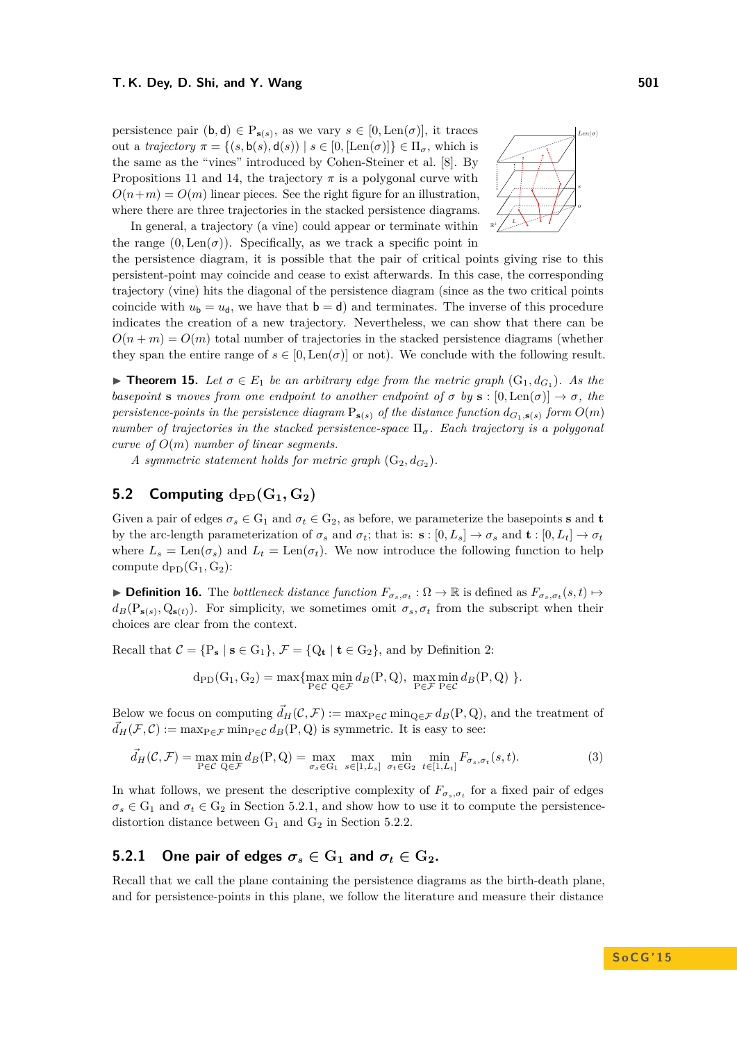persistence pair  $(b,d) \in P_{s(s)}$ , as we vary  $s \in [0, \text{Len}(\sigma)]$ , it traces out a *trajectory*  $\pi = \{(s, \mathsf{b}(s), \mathsf{d}(s)) \mid s \in [0, [\text{Len}(\sigma)]\} \in \Pi_{\sigma}$ , which is the same as the "vines" introduced by Cohen-Steiner et al. [\[8\]](#page-14-22). By Propositions [11](#page-8-2) and [14,](#page-9-0) the trajectory  $\pi$  is a polygonal curve with  $O(n+m) = O(m)$  linear pieces. See the right figure for an illustration, where there are three trajectories in the stacked persistence diagrams.

In general, a trajectory (a vine) could appear or terminate within the range  $(0, \text{Len}(\sigma))$ . Specifically, as we track a specific point in

the persistence diagram, it is possible that the pair of critical points giving rise to this persistent-point may coincide and cease to exist afterwards. In this case, the corresponding trajectory (vine) hits the diagonal of the persistence diagram (since as the two critical points coincide with  $u_{\mathbf{b}} = u_{\mathbf{d}}$ , we have that  $\mathbf{b} = \mathbf{d}$ ) and terminates. The inverse of this procedure indicates the creation of a new trajectory. Nevertheless, we can show that there can be  $O(n+m) = O(m)$  total number of trajectories in the stacked persistence diagrams (whether they span the entire range of  $s \in [0, \text{Len}(\sigma)]$  or not). We conclude with the following result.

<span id="page-10-1"></span>**► Theorem 15.** Let  $\sigma \in E_1$  be an arbitrary edge from the metric graph  $(G_1, d_{G_1})$ . As the *basepoint* **s** *moves from one endpoint to another endpoint of*  $\sigma$  *by* **s** : [0, Len( $\sigma$ )]  $\rightarrow \sigma$ *, the*  $p$ ersistence-points in the persistence diagram  $P_{s(s)}$  of the distance function  $d_{G_1,s(s)}$  form  $O(m)$ *number of trajectories in the stacked persistence-space* Π*σ. Each trajectory is a polygonal curve of O*(*m*) *number of linear segments.*

*A* symmetric statement holds for metric graph  $(G_2, d_{G_2})$ .

# **5.2** Computing  $d_{\text{PD}}(G_1, G_2)$

Given a pair of edges  $\sigma_s \in G_1$  and  $\sigma_t \in G_2$ , as before, we parameterize the basepoints **s** and **t** by the arc-length parameterization of  $\sigma_s$  and  $\sigma_t$ ; that is:  $\mathbf{s} : [0, L_s] \to \sigma_s$  and  $\mathbf{t} : [0, L_t] \to \sigma_t$ where  $L_s = \text{Len}(\sigma_s)$  and  $L_t = \text{Len}(\sigma_t)$ . We now introduce the following function to help compute  $d_{PD}(G_1, G_2)$ :

**► Definition 16.** The *bottleneck distance function*  $F_{\sigma_s, \sigma_t} : \Omega \to \mathbb{R}$  is defined as  $F_{\sigma_s, \sigma_t}(s, t) \mapsto$  $d_B(P_{s(s)}, Q_{s(t)})$ . For simplicity, we sometimes omit  $\sigma_s, \sigma_t$  from the subscript when their choices are clear from the context.

Recall that  $C = \{P_s \mid s \in G_1\}, \mathcal{F} = \{Q_t \mid t \in G_2\}$ , and by Definition [2:](#page-4-1)

<span id="page-10-2"></span>
$$
d_{PD}(G_1, G_2) = \max\{\max_{P \in \mathcal{C}} \min_{Q \in \mathcal{F}} d_B(P, Q), \max_{P \in \mathcal{F}} \min_{P \in \mathcal{C}} d_B(P, Q)\}.
$$

Below we focus on computing  $\vec{d}_H(\mathcal{C}, \mathcal{F}) := \max_{P \in \mathcal{C}} \min_{Q \in \mathcal{F}} d_B(P, Q)$ , and the treatment of  $\vec{d}_H(\mathcal{F}, \mathcal{C}) := \max_{P \in \mathcal{F}} \min_{P \in \mathcal{C}} d_P(P, Q)$  is symmetric. It is easy to see:

$$
\vec{d}_H(\mathcal{C}, \mathcal{F}) = \max_{P \in \mathcal{C}} \min_{Q \in \mathcal{F}} d_B(P, Q) = \max_{\sigma_s \in G_1} \max_{s \in [1, L_s]} \min_{\sigma_t \in G_2} \min_{t \in [1, L_t]} F_{\sigma_s, \sigma_t}(s, t). \tag{3}
$$

In what follows, we present the descriptive complexity of  $F_{\sigma_s, \sigma_t}$  for a fixed pair of edges  $\sigma_s \in G_1$  and  $\sigma_t \in G_2$  in Section [5.2.1,](#page-10-0) and show how to use it to compute the persistencedistortion distance between  $G_1$  and  $G_2$  in Section [5.2.2.](#page-12-0)

### <span id="page-10-0"></span>**5.2.1** One pair of edges  $\sigma_s \in G_1$  and  $\sigma_t \in G_2$ .

Recall that we call the plane containing the persistence diagrams as the birth-death plane, and for persistence-points in this plane, we follow the literature and measure their distance

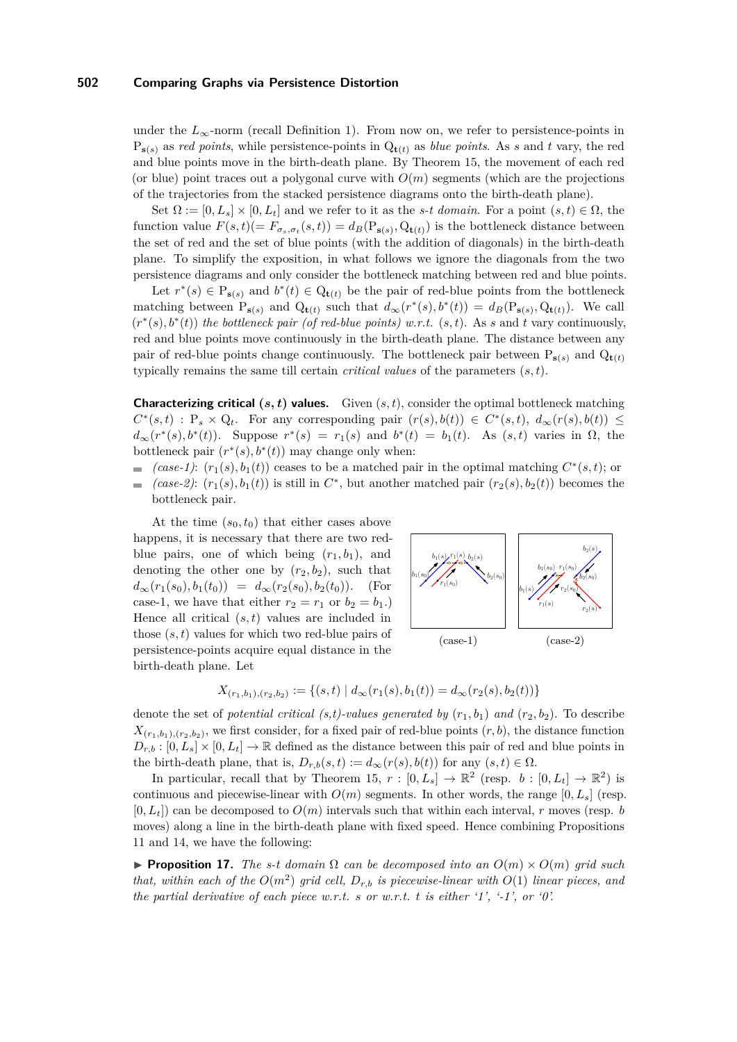under the  $L_{\infty}$ -norm (recall Definition [1\)](#page-4-2). From now on, we refer to persistence-points in  $P_{s(s)}$  as *red points*, while persistence-points in  $Q_{t(t)}$  as *blue points*. As *s* and *t* vary, the red and blue points move in the birth-death plane. By Theorem [15,](#page-10-1) the movement of each red (or blue) point traces out a polygonal curve with  $O(m)$  segments (which are the projections of the trajectories from the stacked persistence diagrams onto the birth-death plane).

Set  $\Omega := [0, L_s] \times [0, L_t]$  and we refer to it as the *s-t domain*. For a point  $(s, t) \in \Omega$ , the function value  $F(s,t)(= F_{\sigma_s,\sigma_t}(s,t)) = d_B(P_{s(s)}, Q_{t(t)})$  is the bottleneck distance between the set of red and the set of blue points (with the addition of diagonals) in the birth-death plane. To simplify the exposition, in what follows we ignore the diagonals from the two persistence diagrams and only consider the bottleneck matching between red and blue points.

Let  $r^*(s) \in \mathcal{P}_{\mathbf{s}(s)}$  and  $b^*(t) \in \mathcal{Q}_{\mathbf{t}(t)}$  be the pair of red-blue points from the bottleneck matching between  $P_{s(s)}$  and  $Q_{t(t)}$  such that  $d_{\infty}(r^*(s), b^*(t)) = d_B(P_{s(s)}, Q_{t(t)})$ . We call  $(r^*(s), b^*(t))$  the bottleneck pair (of red-blue points) w.r.t.  $(s, t)$ . As *s* and *t* vary continuously, red and blue points move continuously in the birth-death plane. The distance between any pair of red-blue points change continuously. The bottleneck pair between  $P_{s(s)}$  and  $Q_{t(t)}$ typically remains the same till certain *critical values* of the parameters (*s, t*).

**Characterizing critical**  $(s, t)$  **values.** Given  $(s, t)$ , consider the optimal bottleneck matching  $C^*(s,t)$ :  $P_s \times Q_t$ . For any corresponding pair  $(r(s), b(t)) \in C^*(s,t)$ ,  $d_{\infty}(r(s), b(t)) \leq$  $d_{\infty}(r^*(s), b^*(t))$ . Suppose  $r^*(s) = r_1(s)$  and  $b^*(t) = b_1(t)$ . As  $(s, t)$  varies in  $\Omega$ , the bottleneck pair  $(r^*(s), b^*(t))$  may change only when:

(case-1):  $(r_1(s), b_1(t))$  ceases to be a matched pair in the optimal matching  $C^*(s,t)$ ; or (*case-2*):  $(r_1(s), b_1(t))$  is still in  $C^*$ , but another matched pair  $(r_2(s), b_2(t))$  becomes the  $\mathcal{L}_{\mathcal{A}}$ bottleneck pair.

At the time  $(s_0, t_0)$  that either cases above happens, it is necessary that there are two redblue pairs, one of which being  $(r_1, b_1)$ , and denoting the other one by  $(r_2, b_2)$ , such that  $d_{\infty}(r_1(s_0), b_1(t_0)) = d_{\infty}(r_2(s_0), b_2(t_0))$ . (For case-1, we have that either  $r_2 = r_1$  or  $b_2 = b_1$ .) Hence all critical (*s, t*) values are included in those (*s, t*) values for which two red-blue pairs of persistence-points acquire equal distance in the birth-death plane. Let



$$
X_{(r_1,b_1),(r_2,b_2)} := \{(s,t) \mid d_{\infty}(r_1(s),b_1(t)) = d_{\infty}(r_2(s),b_2(t))\}
$$

denote the set of *potential critical*  $(s,t)$ -values generated by  $(r_1, b_1)$  and  $(r_2, b_2)$ . To describe  $X_{(r_1, b_1), (r_2, b_2)}$ , we first consider, for a fixed pair of red-blue points  $(r, b)$ , the distance function  $D_{r,b} : [0, L_s] \times [0, L_t] \to \mathbb{R}$  defined as the distance between this pair of red and blue points in the birth-death plane, that is,  $D_{r,b}(s,t) := d_{\infty}(r(s), b(t))$  for any  $(s, t) \in \Omega$ .

In particular, recall that by Theorem [15,](#page-10-1)  $r : [0, L_s] \to \mathbb{R}^2$  (resp.  $b : [0, L_t] \to \mathbb{R}^2$ ) is continuous and piecewise-linear with  $O(m)$  segments. In other words, the range  $[0, L_s]$  (resp.  $[0, L_t]$  can be decomposed to  $O(m)$  intervals such that within each interval, *r* moves (resp. *b*) moves) along a line in the birth-death plane with fixed speed. Hence combining Propositions [11](#page-8-2) and [14,](#page-9-0) we have the following:

<span id="page-11-0"></span>**Proposition 17.** The s-t domain  $\Omega$  can be decomposed into an  $O(m) \times O(m)$  grid such *that, within each of the*  $O(m^2)$  *grid cell,*  $D_{r,b}$  *is piecewise-linear with*  $O(1)$  *linear pieces, and the partial derivative of each piece w.r.t. s or w.r.t. t is either '1', '-1', or '0'.*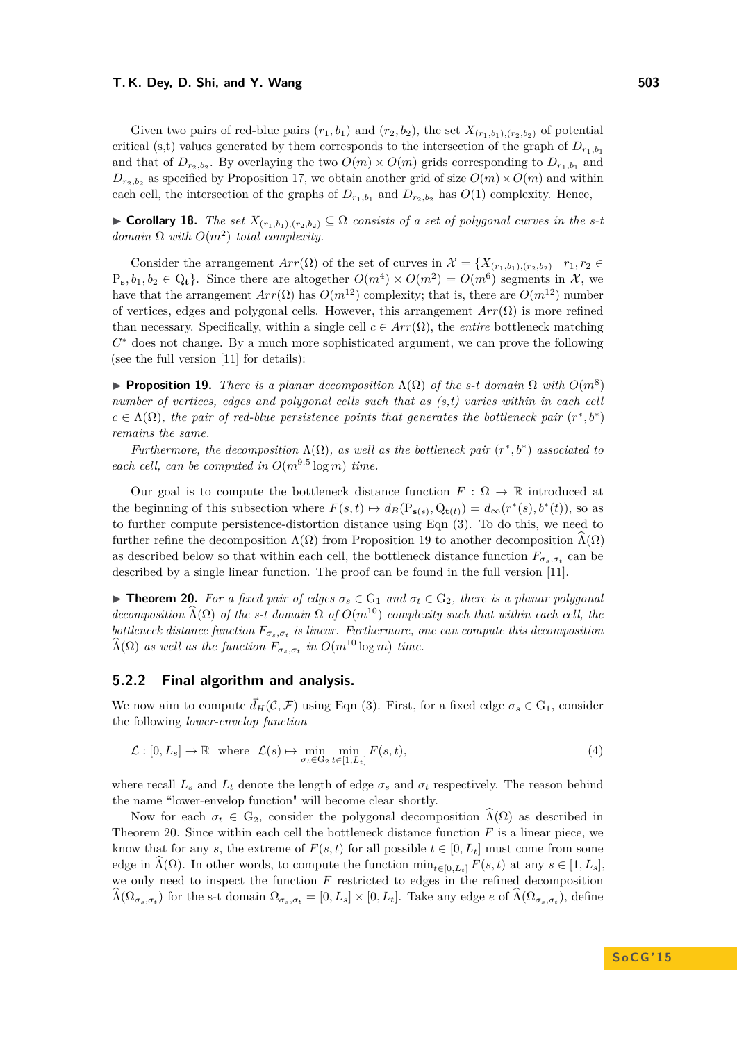Given two pairs of red-blue pairs  $(r_1, b_1)$  and  $(r_2, b_2)$ , the set  $X_{(r_1, b_1), (r_2, b_2)}$  of potential critical (s,t) values generated by them corresponds to the intersection of the graph of  $D_{r_1,b_1}$ and that of  $D_{r_2, b_2}$ . By overlaying the two  $O(m) \times O(m)$  grids corresponding to  $D_{r_1, b_1}$  and  $D_{r_2,b_2}$  as specified by Proposition [17,](#page-11-0) we obtain another grid of size  $O(m) \times O(m)$  and within each cell, the intersection of the graphs of  $D_{r_1,b_1}$  and  $D_{r_2,b_2}$  has  $O(1)$  complexity. Hence,

 $\triangleright$  **Corollary 18.** *The set X*<sub>(*r*<sub>1</sub>,b<sub>1</sub>)</sup>*,*(*r*<sub>2</sub>,b<sub>2</sub>) ⊆ Ω *consists of a set of polygonal curves in the s-t*</sub>  $domain \Omega with O(m^2) total complexity.$ 

Consider the arrangement  $Arr(\Omega)$  of the set of curves in  $\mathcal{X} = \{X_{(r_1,b_1),(r_2,b_2)} \mid r_1,r_2 \in$  $P_s, b_1, b_2 \in Q_t$ . Since there are altogether  $O(m^4) \times O(m^2) = O(m^6)$  segments in X, we have that the arrangement  $Arr(\Omega)$  has  $O(m^{12})$  complexity; that is, there are  $O(m^{12})$  number of vertices, edges and polygonal cells. However, this arrangement  $Arr(\Omega)$  is more refined than necessary. Specifically, within a single cell  $c \in Arr(\Omega)$ , the *entire* bottleneck matching *C* <sup>∗</sup> does not change. By a much more sophisticated argument, we can prove the following (see the full version [\[11\]](#page-14-3) for details):

<span id="page-12-1"></span>**Proposition 19.** *There is a planar decomposition*  $\Lambda(\Omega)$  *of the s-t domain*  $\Omega$  *with*  $O(m^8)$ *number of vertices, edges and polygonal cells such that as (s,t) varies within in each cell*  $c \in \Lambda(\Omega)$ , the pair of red-blue persistence points that generates the bottleneck pair  $(r^*, b^*)$ *remains the same.*

*Furthermore, the decomposition*  $\Lambda(\Omega)$ *, as well as the bottleneck pair*  $(r^*, b^*)$  *associated to each cell, can be computed in*  $O(m^{9.5} \log m)$  *time.* 

Our goal is to compute the bottleneck distance function  $F : \Omega \to \mathbb{R}$  introduced at the beginning of this subsection where  $F(s,t) \mapsto d_B(P_{s(s)}, Q_{t(t)}) = d_{\infty}(r^*(s), b^*(t))$ , so as to further compute persistence-distortion distance using Eqn [\(3\)](#page-10-2). To do this, we need to further refine the decomposition  $\Lambda(\Omega)$  from Proposition [19](#page-12-1) to another decomposition  $\Lambda(\Omega)$ as described below so that within each cell, the bottleneck distance function  $F_{\sigma_s, \sigma_t}$  can be described by a single linear function. The proof can be found in the full version [\[11\]](#page-14-3).

<span id="page-12-2"></span> $▶$  **Theorem 20.** For a fixed pair of edges  $σ_s ∈ G_1$  and  $σ_t ∈ G_2$ , there is a planar polygonal  $decomposition \Lambda(\Omega)$  *of the s-t domain*  $\Omega$  *of*  $O(m^{10})$  *complexity such that within each cell, the bottleneck distance function Fσs,σ<sup>t</sup> is linear. Furthermore, one can compute this decomposition*  $\widehat{\Lambda}(\Omega)$  as well as the function  $F_{\sigma_s, \sigma_t}$  in  $O(m^{10} \log m)$  time.

### <span id="page-12-0"></span>**5.2.2 Final algorithm and analysis.**

We now aim to compute  $\vec{d}_H(\mathcal{C}, \mathcal{F})$  using Eqn [\(3\)](#page-10-2). First, for a fixed edge  $\sigma_s \in G_1$ , consider the following *lower-envelop function*

$$
\mathcal{L} : [0, L_s] \to \mathbb{R} \text{ where } \mathcal{L}(s) \mapsto \min_{\sigma_t \in \mathcal{G}_2} \min_{t \in [1, L_t]} F(s, t), \tag{4}
$$

where recall  $L_s$  and  $L_t$  denote the length of edge  $\sigma_s$  and  $\sigma_t$  respectively. The reason behind the name "lower-envelop function" will become clear shortly.

Now for each  $\sigma_t \in G_2$ , consider the polygonal decomposition  $\widehat{\Lambda}(\Omega)$  as described in Theorem [20.](#page-12-2) Since within each cell the bottleneck distance function *F* is a linear piece, we know that for any *s*, the extreme of  $F(s,t)$  for all possible  $t \in [0, L_t]$  must come from some edge in  $\widehat{\Lambda}(\Omega)$ . In other words, to compute the function  $\min_{t \in [0, L_t]} F(s, t)$  at any  $s \in [1, L_s]$ , we only need to inspect the function *F* restricted to edges in the refined decomposition  $\Lambda(\Omega_{\sigma_s,\sigma_t})$  for the s-t domain  $\Omega_{\sigma_s,\sigma_t} = [0,L_s] \times [0,L_t]$ . Take any edge *e* of  $\Lambda(\Omega_{\sigma_s,\sigma_t})$ , define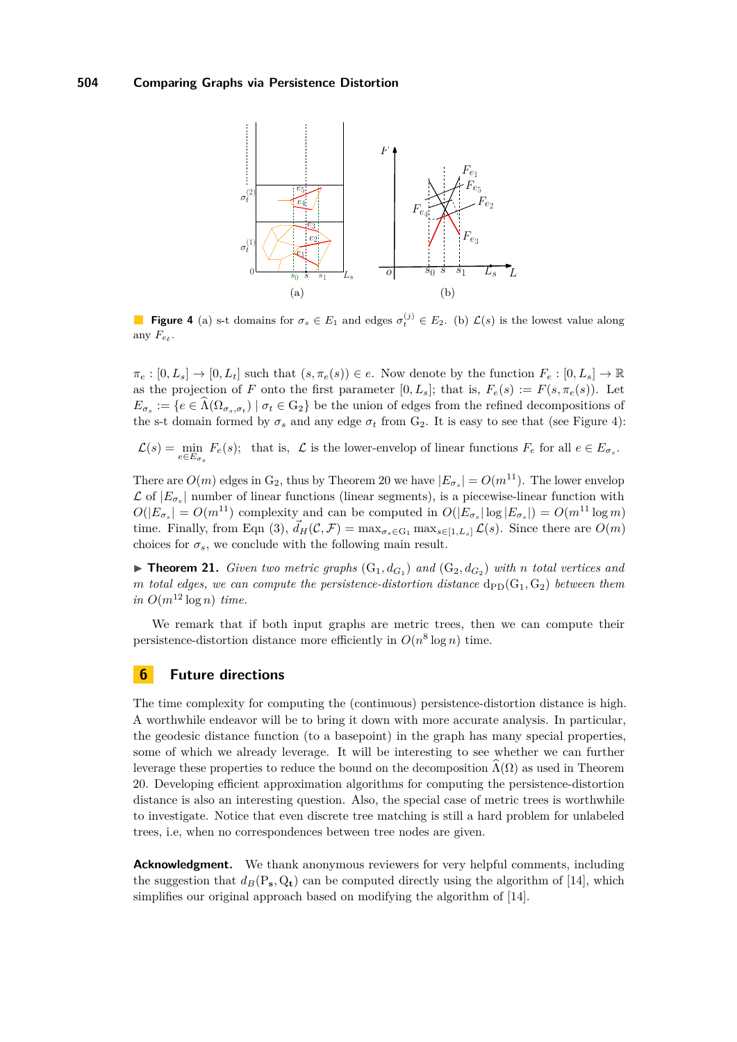<span id="page-13-0"></span>

**Figure 4** (a) s-t domains for  $\sigma_s \in E_1$  and edges  $\sigma_t^{(j)} \in E_2$ . (b)  $\mathcal{L}(s)$  is the lowest value along any  $F_{e_{\ell}}$ .

 $\pi_e : [0, L_s] \to [0, L_t]$  such that  $(s, \pi_e(s)) \in e$ . Now denote by the function  $F_e : [0, L_s] \to \mathbb{R}$ as the projection of *F* onto the first parameter  $[0, L_s]$ ; that is,  $F_e(s) := F(s, \pi_e(s))$ . Let  $E_{\sigma_s} := \{e \in \Lambda(\Omega_{\sigma_s, \sigma_t}) \mid \sigma_t \in \mathbb{G}_2\}$  be the union of edges from the refined decompositions of the s-t domain formed by  $\sigma_s$  and any edge  $\sigma_t$  from  $G_2$ . It is easy to see that (see Figure [4\)](#page-13-0):

 $\mathcal{L}(s) = \min_{e \in E_{\sigma_s}} F_e(s)$ ; that is,  $\mathcal{L}$  is the lower-envelop of linear functions  $F_e$  for all  $e \in E_{\sigma_s}$ .

There are  $O(m)$  edges in  $G_2$ , thus by Theorem [20](#page-12-2) we have  $|E_{\sigma_s}| = O(m^{11})$ . The lower envelop  $\mathcal{L}$  of  $|E_{\sigma_e}|$  number of linear functions (linear segments), is a piecewise-linear function with  $O(|E_{\sigma_s}| = O(m^{11})$  complexity and can be computed in  $O(|E_{\sigma_s}| \log |E_{\sigma_s}|) = O(m^{11} \log m)$ time. Finally, from Eqn [\(3\)](#page-10-2),  $\vec{d}_H(\mathcal{C}, \mathcal{F}) = \max_{\sigma_s \in \mathcal{G}_1} \max_{s \in [1, L_s]} \mathcal{L}(s)$ . Since there are  $O(m)$ choices for  $\sigma_s$ , we conclude with the following main result.

**Findmark 11.** *Given two metric graphs*  $(G_1, d_{G_1})$  *and*  $(G_2, d_{G_2})$  *with n total vertices and m total edges, we can compute the persistence-distortion distance*  $d_{PD}(G_1, G_2)$  *between them*  $in$   $O(m^{12} \log n)$  *time.* 

We remark that if both input graphs are metric trees, then we can compute their persistence-distortion distance more efficiently in  $O(n^8 \log n)$  time.

### **6 Future directions**

The time complexity for computing the (continuous) persistence-distortion distance is high. A worthwhile endeavor will be to bring it down with more accurate analysis. In particular, the geodesic distance function (to a basepoint) in the graph has many special properties, some of which we already leverage. It will be interesting to see whether we can further leverage these properties to reduce the bound on the decomposition  $\Lambda(\Omega)$  as used in Theorem [20.](#page-12-2) Developing efficient approximation algorithms for computing the persistence-distortion distance is also an interesting question. Also, the special case of metric trees is worthwhile to investigate. Notice that even discrete tree matching is still a hard problem for unlabeled trees, i.e, when no correspondences between tree nodes are given.

**Acknowledgment.** We thank anonymous reviewers for very helpful comments, including the suggestion that  $d_B(P_s, Q_t)$  can be computed directly using the algorithm of [\[14\]](#page-14-21), which simplifies our original approach based on modifying the algorithm of [\[14\]](#page-14-21).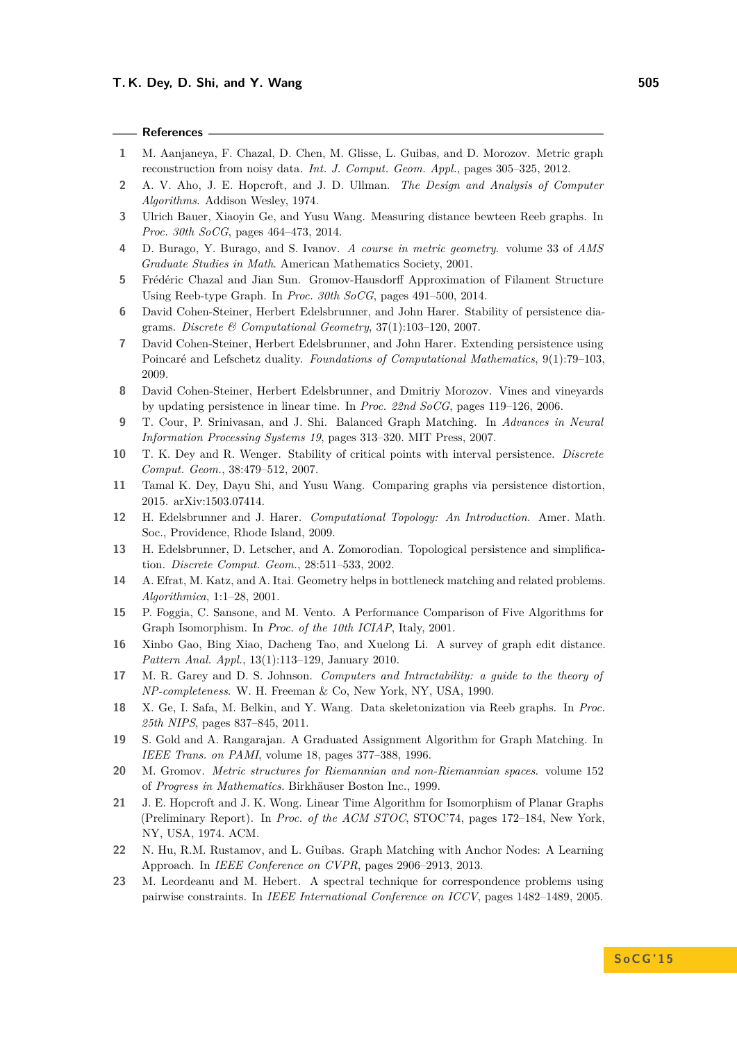| <b>References</b> |
|-------------------|
|-------------------|

- <span id="page-14-0"></span>**1** M. Aanjaneya, F. Chazal, D. Chen, M. Glisse, L. Guibas, and D. Morozov. Metric graph reconstruction from noisy data. *Int. J. Comput. Geom. Appl.*, pages 305–325, 2012.
- <span id="page-14-4"></span>**2** A. V. Aho, J. E. Hopcroft, and J. D. Ullman. *The Design and Analysis of Computer Algorithms*. Addison Wesley, 1974.
- <span id="page-14-20"></span>**3** Ulrich Bauer, Xiaoyin Ge, and Yusu Wang. Measuring distance bewteen Reeb graphs. In *Proc. 30th SoCG*, pages 464–473, 2014.
- <span id="page-14-19"></span>**4** D. Burago, Y. Burago, and S. Ivanov. *A course in metric geometry*. volume 33 of *AMS Graduate Studies in Math*. American Mathematics Society, 2001.
- <span id="page-14-1"></span>**5** Frédéric Chazal and Jian Sun. Gromov-Hausdorff Approximation of Filament Structure Using Reeb-type Graph. In *Proc. 30th SoCG*, pages 491–500, 2014.
- <span id="page-14-16"></span>**6** David Cohen-Steiner, Herbert Edelsbrunner, and John Harer. Stability of persistence diagrams. *Discrete & Computational Geometry*, 37(1):103–120, 2007.
- <span id="page-14-17"></span>**7** David Cohen-Steiner, Herbert Edelsbrunner, and John Harer. Extending persistence using Poincaré and Lefschetz duality. *Foundations of Computational Mathematics*, 9(1):79–103, 2009.
- <span id="page-14-22"></span>**8** David Cohen-Steiner, Herbert Edelsbrunner, and Dmitriy Morozov. Vines and vineyards by updating persistence in linear time. In *Proc. 22nd SoCG*, pages 119–126, 2006.
- <span id="page-14-10"></span>**9** T. Cour, P. Srinivasan, and J. Shi. Balanced Graph Matching. In *Advances in Neural Information Processing Systems 19*, pages 313–320. MIT Press, 2007.
- <span id="page-14-18"></span>**10** T. K. Dey and R. Wenger. Stability of critical points with interval persistence. *Discrete Comput. Geom.*, 38:479–512, 2007.
- <span id="page-14-3"></span>**11** Tamal K. Dey, Dayu Shi, and Yusu Wang. Comparing graphs via persistence distortion, 2015. arXiv:1503.07414.
- <span id="page-14-14"></span>**12** H. Edelsbrunner and J. Harer. *Computational Topology: An Introduction*. Amer. Math. Soc., Providence, Rhode Island, 2009.
- <span id="page-14-15"></span>**13** H. Edelsbrunner, D. Letscher, and A. Zomorodian. Topological persistence and simplification. *Discrete Comput. Geom.*, 28:511–533, 2002.
- <span id="page-14-21"></span>**14** A. Efrat, M. Katz, and A. Itai. Geometry helps in bottleneck matching and related problems. *Algorithmica*, 1:1–28, 2001.
- <span id="page-14-7"></span>**15** P. Foggia, C. Sansone, and M. Vento. A Performance Comparison of Five Algorithms for Graph Isomorphism. In *Proc. of the 10th ICIAP*, Italy, 2001.
- <span id="page-14-8"></span>**16** Xinbo Gao, Bing Xiao, Dacheng Tao, and Xuelong Li. A survey of graph edit distance. *Pattern Anal. Appl.*, 13(1):113–129, January 2010.
- <span id="page-14-6"></span>**17** M. R. Garey and D. S. Johnson. *Computers and Intractability: a guide to the theory of NP-completeness*. W. H. Freeman & Co, New York, NY, USA, 1990.
- <span id="page-14-2"></span>**18** X. Ge, I. Safa, M. Belkin, and Y. Wang. Data skeletonization via Reeb graphs. In *Proc. 25th NIPS*, pages 837–845, 2011.
- <span id="page-14-9"></span>**19** S. Gold and A. Rangarajan. A Graduated Assignment Algorithm for Graph Matching. In *IEEE Trans. on PAMI*, volume 18, pages 377–388, 1996.
- <span id="page-14-13"></span>**20** M. Gromov. *Metric structures for Riemannian and non-Riemannian spaces*. volume 152 of *Progress in Mathematics*. Birkhäuser Boston Inc., 1999.
- <span id="page-14-5"></span>**21** J. E. Hopcroft and J. K. Wong. Linear Time Algorithm for Isomorphism of Planar Graphs (Preliminary Report). In *Proc. of the ACM STOC*, STOC'74, pages 172–184, New York, NY, USA, 1974. ACM.
- <span id="page-14-12"></span>**22** N. Hu, R.M. Rustamov, and L. Guibas. Graph Matching with Anchor Nodes: A Learning Approach. In *IEEE Conference on CVPR*, pages 2906–2913, 2013.
- <span id="page-14-11"></span>**23** M. Leordeanu and M. Hebert. A spectral technique for correspondence problems using pairwise constraints. In *IEEE International Conference on ICCV*, pages 1482–1489, 2005.